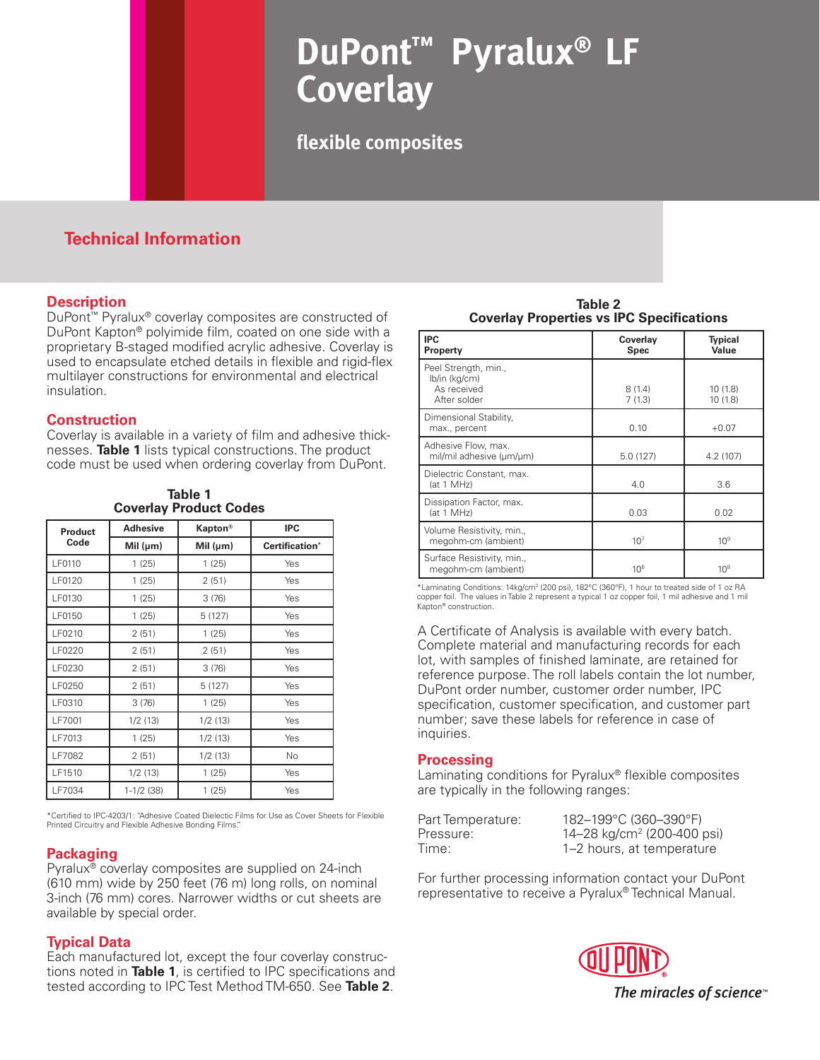# **DuPont™ Pyralux® LF Coverlay**

**flexible composites**

# **Technical Information**

## **Description**

DuPont™ Pyralux® coverlay composites are constructed of DuPont Kapton® polyimide film, coated on one side with a proprietary B-staged modified acrylic adhesive. Coverlay is used to encapsulate etched details in flexible and rigid-flex multilayer constructions for environmental and electrical insulation.

#### **Construction**

Coverlay is available in a variety of film and adhesive thicknesses. **Table 1** lists typical constructions. The product code must be used when ordering coverlay from DuPont.

| <b>Coveriay Product Codes</b> |                 |               |                |  |
|-------------------------------|-----------------|---------------|----------------|--|
| <b>Product</b><br>Code        | <b>Adhesive</b> | Kapton®       | <b>IPC</b>     |  |
|                               | Mil $(\mu m)$   | Mil $(\mu m)$ | Certification* |  |
| LF0110                        | 1(25)           | 1(25)         | Yes            |  |
| LF0120                        | 1(25)           | 2(51)         | Yes            |  |
| LF0130                        | 1(25)           | 3(76)         | Yes            |  |
| LF0150                        | 1(25)           | 5 (127)       | Yes            |  |
| LF0210                        | 2(51)           | 1(25)         | Yes            |  |
| LF0220                        | 2(51)           | 2(51)         | Yes            |  |
| LF0230                        | 2(51)           | 3(76)         | Yes            |  |
| LF0250                        | 2(51)           | 5(127)        | Yes            |  |
| LF0310                        | 3(76)           | 1(25)         | Yes            |  |
| LF7001                        | 1/2(13)         | 1/2(13)       | Yes            |  |
| LF7013                        | 1(25)           | 1/2(13)       | Yes            |  |
| LF7082                        | 2(51)           | 1/2(13)       | No             |  |
| LF1510                        | 1/2(13)         | 1(25)         | Yes            |  |
| LF7034                        | $1-1/2$ (38)    | 1(25)         | Yes            |  |

**Table 1 Coverlay Product Codes**

\*Certified to IPC-4203/1: "Adhesive Coated Dielectic Films for Use as Cover Sheets for Flexible Printed Circuitry and Flexible Adhesive Bonding Films."

## **Packaging**

Pyralux® coverlay composites are supplied on 24-inch (610 mm) wide by 250 feet (76 m) long rolls, on nominal 3-inch (76 mm) cores. Narrower widths or cut sheets are available by special order.

## **Typical Data**

Each manufactured lot, except the four coverlay constructions noted in **Table 1**, is certified to IPC specifications and tested according to IPC Test Method TM-650. See **Table 2**.

**Table 2 Coverlay Properties vs IPC Specifications**

| <b>IPC</b><br>Property                                               | Coverlay<br><b>Spec</b> | <b>Typical</b><br>Value |
|----------------------------------------------------------------------|-------------------------|-------------------------|
| Peel Strength, min.,<br>lb/in (kg/cm)<br>As received<br>After solder | 8(1.4)<br>7(1.3)        | 10(1.8)<br>10(1.8)      |
| Dimensional Stability,<br>max., percent                              | 0.10                    | $+0.07$                 |
| Adhesive Flow, max.<br>mil/mil adhesive (um/um)                      | 5.0(127)                | 4.2 (107)               |
| Dielectric Constant, max.<br>(at 1 MHz)                              | 4.0                     | 3.6                     |
| Dissipation Factor, max.<br>(at 1 MHz)                               | 0.03                    | 0.02                    |
| Volume Resistivity, min.,<br>megohm-cm (ambient)                     | 10 <sup>7</sup>         | 10 <sup>9</sup>         |
| Surface Resistivity, min.,<br>megohm-cm (ambient)                    | $10^{6}$                | 10 <sup>8</sup>         |

\*Laminating Conditions: 14kg/cm2 (200 psi), 182°C (360°F), 1 hour to treated side of 1 oz RA copper foil. The values in Table 2 represent a typical 1 oz copper foil, 1 mil adhesive and 1 mil Kapton® construction.

A Certificate of Analysis is available with every batch. Complete material and manufacturing records for each lot, with samples of finished laminate, are retained for reference purpose. The roll labels contain the lot number, DuPont order number, customer order number, IPC specification, customer specification, and customer part number; save these labels for reference in case of inquiries.

#### **Processing**

Laminating conditions for Pyralux® flexible composites are typically in the following ranges:

| Part Temperature: | 182-199°C (360-390°F)                  |
|-------------------|----------------------------------------|
| Pressure:         | 14–28 kg/cm <sup>2</sup> (200-400 psi) |
| Time:             | 1–2 hours, at temperature              |

For further processing information contact your DuPont representative to receive a Pyralux® Technical Manual.